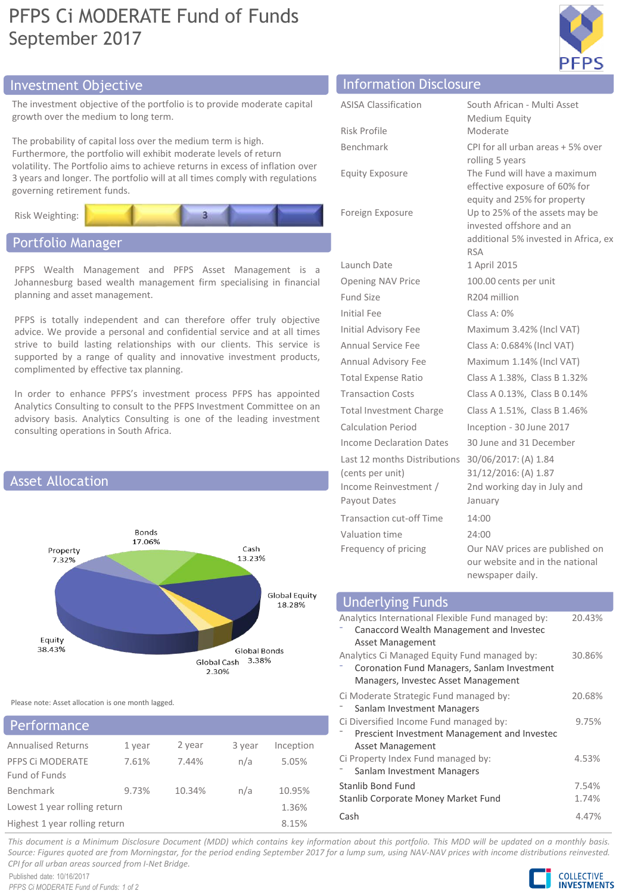## PFPS Ci MODERATE Fund of Funds September 2017



## Investment Objective Information Disclosure

The investment objective of the portfolio is to provide moder growth over the medium to long term.

The probability of capital loss over the medium term is high. Furthermore, the portfolio will exhibit moderate levels of return volatility. The Portfolio aims to achieve returns in excess of in 3 years and longer. The portfolio will at all times comply with governing retirement funds.



## Portfolio Manager

PFPS Wealth Management and PFPS Asset Manage Johannesburg based wealth management firm specialising planning and asset management.

PFPS is totally independent and can therefore offer tru advice. We provide a personal and confidential service and strive to build lasting relationships with our clients. This supported by a range of quality and innovative investmer complimented by effective tax planning.

In order to enhance PFPS's investment process PFPS has Analytics Consulting to consult to the PFPS Investment Committee on an advisory basis. Analytics Consulting is one of the leading investment consulting operations in South Africa.



Please note: Asset allocation is one month lagged.

| Performance                   |        |        |        |           |  |
|-------------------------------|--------|--------|--------|-----------|--|
| <b>Annualised Returns</b>     | 1 year | 2 year | 3 year | Inception |  |
| PFPS CI MODERATE              | 7.61%  | 7.44%  | n/a    | 5.05%     |  |
| Fund of Funds                 |        |        |        |           |  |
| Benchmark                     | 9.73%  | 10.34% | n/a    | 10.95%    |  |
| Lowest 1 year rolling return  | 1.36%  |        |        |           |  |
| Highest 1 year rolling return |        |        |        | 8.15%     |  |

| ate capital                                                  | <b>ASISA Classification</b> | South African - Multi Asset<br>Medium Equity                                                                                      |
|--------------------------------------------------------------|-----------------------------|-----------------------------------------------------------------------------------------------------------------------------------|
|                                                              | Risk Profile                | Moderate                                                                                                                          |
| urn<br>flation over<br>regulations                           | Benchmark                   | CPI for all urban areas + 5% over<br>rolling 5 years                                                                              |
|                                                              | <b>Equity Exposure</b>      | The Fund will have a maximum<br>effective exposure of 60% for                                                                     |
|                                                              | Foreign Exposure            | equity and 25% for property<br>Up to 25% of the assets may be<br>invested offshore and an<br>additional 5% invested in Africa, ex |
|                                                              |                             | <b>RSA</b>                                                                                                                        |
| ment is a<br>in financial                                    | Launch Date                 | 1 April 2015                                                                                                                      |
|                                                              | Opening NAV Price           | 100.00 cents per unit                                                                                                             |
|                                                              | Fund Size                   | R204 million                                                                                                                      |
| ly objective<br>at all times<br>s service is<br>nt products, | Initial Fee                 | Class A: $0\%$                                                                                                                    |
|                                                              | Initial Advisory Fee        | Maximum 3.42% (Incl VAT)                                                                                                          |
|                                                              | Annual Service Fee          | Class A: 0.684% (Incl VAT)                                                                                                        |
|                                                              | Annual Advisory Fee         | Maximum 1.14% (Incl VAT)                                                                                                          |
|                                                              | <b>Total Expense Ratio</b>  | Class A 1.38%, Class B 1.32%                                                                                                      |
| s appointed                                                  | <b>Transaction Costs</b>    | Class A 0.13%, Class B 0.14%                                                                                                      |
|                                                              |                             |                                                                                                                                   |

Total Investment Charge Class A 1.51%, Class B 1.46% Calculation Period Inception - 30 June 2017 Income Declaration Dates 30 June and 31 December Last 12 months Distributions (cents per unit) Income Reinvestment / Payout Dates Transaction cut-off Time

Valuation time Frequency of pricing

| so sanc and se pecento          |
|---------------------------------|
| 30/06/2017: (A) 1.84            |
| 31/12/2016: (A) 1.87            |
| 2nd working day in July and     |
| January                         |
| 14:00                           |
| 24:00                           |
| Our NAV prices are published on |
| our website and in the national |

newspaper daily.

| <b>Underlying Funds</b>                                                                       |        |
|-----------------------------------------------------------------------------------------------|--------|
| Analytics International Flexible Fund managed by:<br>Canaccord Wealth Management and Investec | 20.43% |
| Asset Management                                                                              |        |
| Analytics Ci Managed Equity Fund managed by:<br>Coronation Fund Managers, Sanlam Investment   | 30.86% |
| Managers, Investec Asset Management                                                           |        |
| Ci Moderate Strategic Fund managed by:<br>Sanlam Investment Managers                          | 20.68% |
| Ci Diversified Income Fund managed by:                                                        | 9.75%  |
| Prescient Investment Management and Investec<br><b>Asset Management</b>                       |        |
| Ci Property Index Fund managed by:<br>Sanlam Investment Managers                              | 4.53%  |
| Stanlib Bond Fund                                                                             | 7.54%  |
| Stanlib Corporate Money Market Fund                                                           | 1.74%  |
| Cash                                                                                          | 4.47%  |

This document is a Minimum Disclosure Document (MDD) which contains key information about this portfolio. This MDD will be updated on a monthly basis. Source: Figures quoted are from Morningstar, for the period ending September 2017 for a lump sum, using NAV-NAV prices with income distributions reinvested. *CPI for all urban areas sourced from I-Net Bridge.*

Published date: 10/16/2017 *PFPS Ci MODERATE Fund of Funds: 1 of 2*